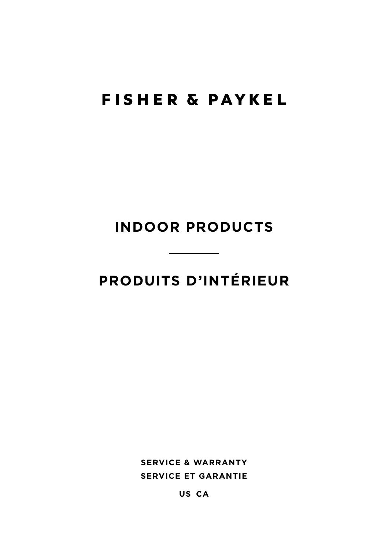# **FISHER & PAYKEL**

# **INDOOR PRODUCTS**

# **PRODUITS D'INTÉRIEUR**

**SERVICE & WARRANTY SERVICE ET GARANTIE**

**US CA**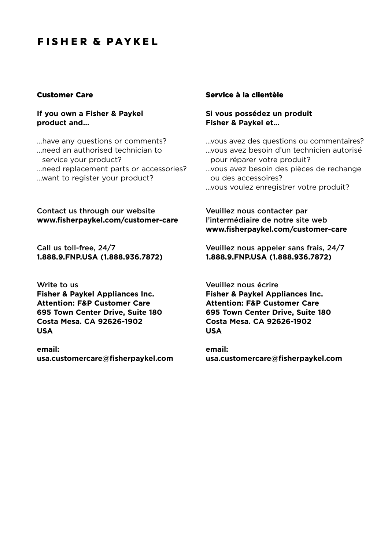## **FISHER & PAYKEL**

#### Customer Care

#### **If you own a Fisher & Paykel product and...**

... have any questions or comments? ... need an authorised technician to service your product? ... need replacement parts or accessories? ... want to register your product?

#### Contact us through our website **www.fisherpaykel.com/customer-care**

Call us toll-free, 24/7 **1.888.9.FNP.USA (1.888.936.7872)**

Write to us **Fisher & Paykel Appliances Inc. Attention: F&P Customer Care 695 Town Center Drive, Suite 180 Costa Mesa. CA 92626-1902 USA**

**email: usa.customercare@fisherpaykel.com**

## Service à la clientèle

**Si vous possédez un produit Fisher & Paykel et…**

- ... vous avez des questions ou commentaires?
- ... vous avez besoin d'un technicien autorisé pour réparer votre produit?
- ... vous avez besoin des pièces de rechange ou des accessoires?
- ...vous voulez enregistrer votre produit?

#### Veuillez nous contacter par l'intermédiaire de notre site web **www.fisherpaykel.com/customer-care**

Veuillez nous appeler sans frais, 24/7 **1.888.9.FNP.USA (1.888.936.7872)**

Veuillez nous écrire **Fisher & Paykel Appliances Inc. Attention: F&P Customer Care 695 Town Center Drive, Suite 180 Costa Mesa. CA 92626-1902 USA**

**email: usa.customercare@fisherpaykel.com**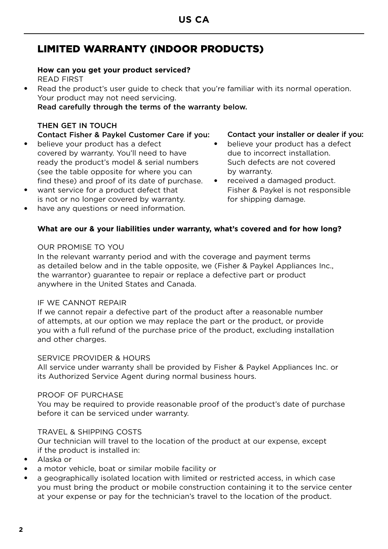## LIMITED WARRANTY (INDOOR PRODUCTS)

## **How can you get your product serviced?** READ FIRST

Read the product's user quide to check that you're familiar with its normal operation. Your product may not need servicing.

Read carefully through the terms of the warranty below.

## THEN GET IN TOUCH

## Contact Fisher & Paykel Customer Care if you:

- believe your product has a defect covered by warranty. You'll need to have ready the product's model & serial numbers (see the table opposite for where you can find these) and proof of its date of purchase.
- want service for a product defect that is not or no longer covered by warranty.
- have any questions or need information.

## Contact your installer or dealer if you:

- believe your product has a defect due to incorrect installation. Such defects are not covered by warranty.
- received a damaged product. Fisher & Paykel is not responsible for shipping damage.

## **What are our & your liabilities under warranty, what's covered and for how long?**

## OUR PROMISE TO YOU

In the relevant warranty period and with the coverage and payment terms as detailed below and in the table opposite, we (Fisher & Paykel Appliances Inc., the warrantor) guarantee to repair or replace a defective part or product anywhere in the United States and Canada.

## IF WE CANNOT REPAIR

If we cannot repair a defective part of the product after a reasonable number of attempts, at our option we may replace the part or the product, or provide you with a full refund of the purchase price of the product, excluding installation and other charges.

## SERVICE PROVIDER & HOURS

All service under warranty shall be provided by Fisher & Paykel Appliances Inc. or its Authorized Service Agent during normal business hours.

## PROOF OF PURCHASE

You may be required to provide reasonable proof of the product's date of purchase before it can be serviced under warranty.

## TRAVEL & SHIPPING COSTS

Our technician will travel to the location of the product at our expense, except if the product is installed in:

- Alaska or
- a motor vehicle, boat or similar mobile facility or
- a geographically isolated location with limited or restricted access, in which case you must bring the product or mobile construction containing it to the service center at your expense or pay for the technician's travel to the location of the product.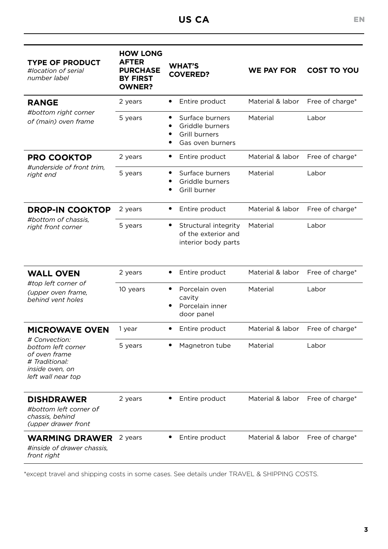| <b>TYPE OF PRODUCT</b><br>#location of serial<br>number label                                                   | <b>HOW LONG</b><br><b>AFTER</b><br><b>PURCHASE</b><br><b>BY FIRST</b><br><b>OWNER?</b> | <b>WHAT'S</b><br><b>COVERED?</b>                                             | <b>WE PAY FOR</b> | <b>COST TO YOU</b> |
|-----------------------------------------------------------------------------------------------------------------|----------------------------------------------------------------------------------------|------------------------------------------------------------------------------|-------------------|--------------------|
| <b>RANGE</b>                                                                                                    | 2 years                                                                                | $\bullet$<br>Entire product                                                  | Material & labor  | Free of charge*    |
| #bottom right corner<br>of (main) oven frame                                                                    | 5 years                                                                                | Surface burners<br>٠<br>Griddle burners<br>Grill burners<br>Gas oven burners | Material          | Labor              |
| <b>PRO COOKTOP</b>                                                                                              | 2 years                                                                                | Entire product<br>٠                                                          | Material & labor  | Free of charge*    |
| #underside of front trim,<br>right end                                                                          | 5 years                                                                                | Surface burners<br>٠<br>Griddle burners<br>Grill burner                      | Material          | Labor              |
| <b>DROP-IN COOKTOP</b>                                                                                          | 2 years                                                                                | Entire product<br>٠                                                          | Material & labor  | Free of charge*    |
| #bottom of chassis.<br>right front corner                                                                       | 5 years                                                                                | Structural integrity<br>of the exterior and<br>interior body parts           | Material          | Labor              |
| <b>WALL OVEN</b>                                                                                                | 2 years                                                                                | $\bullet$<br>Entire product                                                  | Material & labor  | Free of charge*    |
| #top left corner of<br>(upper oven frame,<br>behind vent holes                                                  | 10 years                                                                               | Porcelain oven<br>٠<br>cavity<br>Porcelain inner<br>door panel               | Material          | Labor              |
| <b>MICROWAVE OVEN</b>                                                                                           | 1 year                                                                                 | $\bullet$<br>Entire product                                                  | Material & labor  | Free of charge*    |
| # Convection:<br>bottom left corner<br>of oven frame<br># Traditional:<br>inside oven, on<br>left wall near top | 5 years                                                                                | Magnetron tube                                                               | Material          | Labor              |
| <b>DISHDRAWER</b><br>#bottom left corner of<br>chassis, behind<br>(upper drawer front                           | 2 years                                                                                | Entire product                                                               | Material & labor  | Free of charge*    |
| <b>WARMING DRAWER</b><br>#inside of drawer chassis.<br>front right                                              | 2 years                                                                                | Entire product                                                               | Material & labor  | Free of charge*    |

\*except travel and shipping costs in some cases. See details under TRAVEL & SHIPPING COSTS.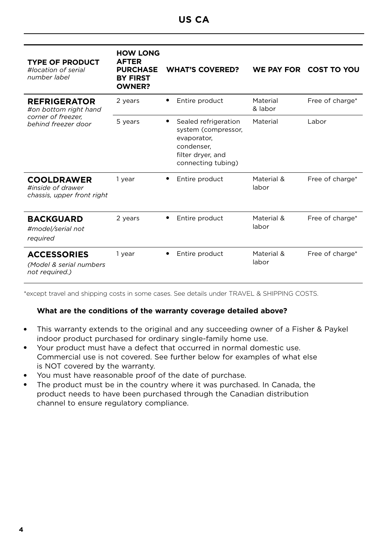| <b>TYPE OF PRODUCT</b><br>#location of serial<br>number label                             | <b>HOW LONG</b><br><b>AFTER</b><br><b>PURCHASE</b><br><b>BY FIRST</b><br><b>OWNER?</b> | <b>WHAT'S COVERED?</b>                                                                                              |                     | WE PAY FOR COST TO YOU |
|-------------------------------------------------------------------------------------------|----------------------------------------------------------------------------------------|---------------------------------------------------------------------------------------------------------------------|---------------------|------------------------|
| <b>REFRIGERATOR</b><br>#on bottom right hand<br>corner of freezer.<br>behind freezer door | 2 years                                                                                | Entire product                                                                                                      | Material<br>& labor | Free of charge*        |
|                                                                                           | 5 years                                                                                | Sealed refrigeration<br>system (compressor,<br>evaporator,<br>condenser.<br>filter dryer, and<br>connecting tubing) | Material            | Labor                  |
| <b>COOLDRAWER</b><br>#inside of drawer<br>chassis, upper front right                      | 1 year                                                                                 | Entire product                                                                                                      | Material &<br>labor | Free of charge*        |
| <b>BACKGUARD</b><br>#model/serial not<br>required                                         | 2 years                                                                                | Entire product                                                                                                      | Material &<br>labor | Free of charge*        |
| <b>ACCESSORIES</b><br>(Model & serial numbers<br>not required.)                           | 1 year                                                                                 | Entire product                                                                                                      | Material &<br>labor | Free of charge*        |

\*except travel and shipping costs in some cases. See details under TRAVEL & SHIPPING COSTS.

## **What are the conditions of the warranty coverage detailed above?**

- This warranty extends to the original and any succeeding owner of a Fisher & Paykel indoor product purchased for ordinary single-family home use.
- Your product must have a defect that occurred in normal domestic use. Commercial use is not covered. See further below for examples of what else is NOT covered by the warranty.
- You must have reasonable proof of the date of purchase.
- The product must be in the country where it was purchased. In Canada, the product needs to have been purchased through the Canadian distribution channel to ensure regulatory compliance.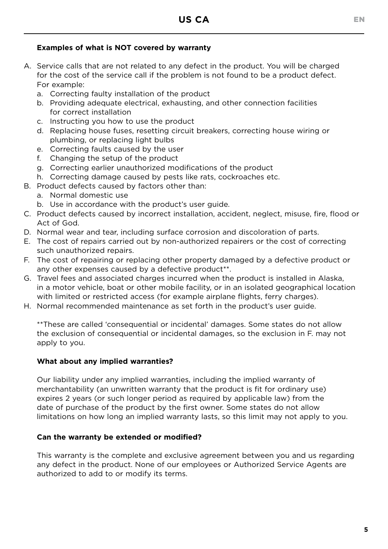## **Examples of what is NOT covered by warranty**

- A. Service calls that are not related to any defect in the product. You will be charged for the cost of the service call if the problem is not found to be a product defect. For example:
	- a. Correcting faulty installation of the product
	- b. Providing adequate electrical, exhausting, and other connection facilities for correct installation
	- c. Instructing you how to use the product
	- d. Replacing house fuses, resetting circuit breakers, correcting house wiring or plumbing, or replacing light bulbs
	- e. Correcting faults caused by the user
	- f. Changing the setup of the product
	- g. Correcting earlier unauthorized modifications of the product
	- h. Correcting damage caused by pests like rats, cockroaches etc.
- B. Product defects caused by factors other than:
	- a. Normal domestic use
	- b. Use in accordance with the product's user guide.
- C. Product defects caused by incorrect installation, accident, neglect, misuse, fire, flood or Act of God.
- D. Normal wear and tear, including surface corrosion and discoloration of parts.
- E. The cost of repairs carried out by non-authorized repairers or the cost of correcting such unauthorized repairs.
- F. The cost of repairing or replacing other property damaged by a defective product or any other expenses caused by a defective product<sup>\*\*</sup>.
- G. Travel fees and associated charges incurred when the product is installed in Alaska, in a motor vehicle, boat or other mobile facility, or in an isolated geographical location with limited or restricted access (for example airplane flights, ferry charges).
- H. Normal recommended maintenance as set forth in the product's user guide.

\*\*These are called 'consequential or incidental' damages. Some states do not allow the exclusion of consequential or incidental damages, so the exclusion in F. may not apply to you.

#### **What about any implied warranties?**

Our liability under any implied warranties, including the implied warranty of merchantability (an unwritten warranty that the product is fit for ordinary use) expires 2 years (or such longer period as required by applicable law) from the date of purchase of the product by the first owner. Some states do not allow limitations on how long an implied warranty lasts, so this limit may not apply to you.

#### **Can the warranty be extended or modified?**

This warranty is the complete and exclusive agreement between you and us regarding any defect in the product. None of our employees or Authorized Service Agents are authorized to add to or modify its terms.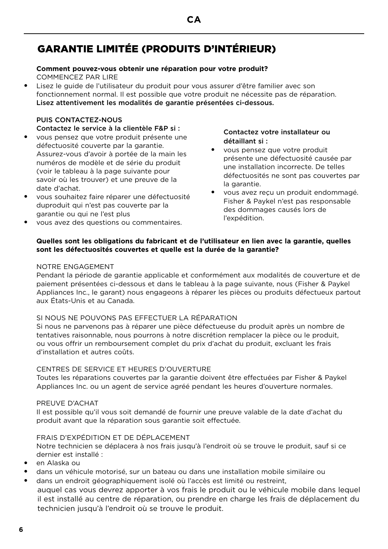## **CA**

## GARANTIE LIMITÉE (PRODUITS D'INTÉRIEUR)

#### **Comment pouvez-vous obtenir une réparation pour votre produit?**

COMMENCEZ PAR LIRE

Lisez le guide de l'utilisateur du produit pour vous assurer d'être familier avec son fonctionnement normal. Il est possible que votre produit ne nécessite pas de réparation. Lisez attentivement les modalités de garantie présentées ci-dessous.

## PUIS CONTACTEZ-NOUS

Contactez le service à la clientèle F&P si :

- vous pensez que votre produit présente une défectuosité couverte par la garantie. Assurez-vous d'avoir à portée de la main les numéros de modèle et de série du produit (voir le tableau à la page suivante pour savoir où les trouver) et une preuve de la date d'achat.
- vous souhaitez faire réparer une défectuosité duproduit qui n'est pas couverte par la garantie ou qui ne l'est plus
- vous avez des questions ou commentaires.

#### Contactez votre installateur ou détaillant si :

- vous pensez que votre produit présente une défectuosité causée par une installation incorrecte. De telles défectuosités ne sont pas couvertes par la garantie.
- vous avez reçu un produit endommagé. Fisher & Paykel n'est pas responsable des dommages causés lors de l'expédition.

## **Quelles sont les obligations du fabricant et de l'utilisateur en lien avec la garantie, quelles sont les défectuosités couvertes et quelle est la durée de la garantie?**

#### NOTRE ENGAGEMENT

Pendant la période de garantie applicable et conformément aux modalités de couverture et de paiement présentées ci-dessous et dans le tableau à la page suivante, nous (Fisher & Paykel Appliances Inc., le garant) nous engageons à réparer les pièces ou produits défectueux partout aux États-Unis et au Canada.

## SI NOUS NE POUVONS PAS EFFECTUER LA RÉPARATION

Si nous ne parvenons pas à réparer une pièce défectueuse du produit après un nombre de tentatives raisonnable, nous pourrons à notre discrétion remplacer la pièce ou le produit, ou vous offrir un remboursement complet du prix d'achat du produit, excluant les frais d'installation et autres coûts.

## CENTRES DE SERVICE ET HEURES D'OUVERTURE

Toutes les réparations couvertes par la garantie doivent être effectuées par Fisher & Paykel Appliances Inc. ou un agent de service agréé pendant les heures d'ouverture normales.

#### PREUVE D'ACHAT

Il est possible qu'il vous soit demandé de fournir une preuve valable de la date d'achat du produit avant que la réparation sous garantie soit effectuée.

## FRAIS D'EXPÉDITION ET DE DÉPLACEMENT

Notre technicien se déplacera à nos frais jusqu'à l'endroit où se trouve le produit, sauf si ce dernier est installé :

- en Alaska ou
- dans un véhicule motorisé, sur un bateau ou dans une installation mobile similaire ou
- dans un endroit géographiquement isolé où l'accès est limité ou restreint, auquel cas vous devrez apporter à vos frais le produit ou le véhicule mobile dans lequel il est installé au centre de réparation, ou prendre en charge les frais de déplacement du technicien jusqu'à l'endroit où se trouve le produit.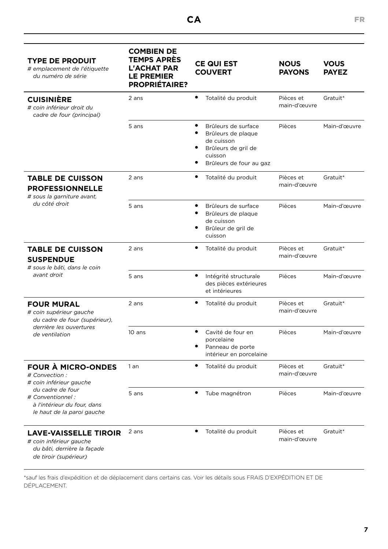| <b>TYPE DE PRODUIT</b><br># emplacement de l'étiquette<br>du numéro de série                                                                                                 | <b>COMBIEN DE</b><br><b>TEMPS APRÈS</b><br><b>L'ACHAT PAR</b><br>LE PREMIER<br><b>PROPRIÉTAIRE?</b> | <b>CE QUI EST</b><br><b>COUVERT</b>                                                                                       | <b>NOUS</b><br><b>PAYONS</b> | <b>VOUS</b><br><b>PAYEZ</b> |
|------------------------------------------------------------------------------------------------------------------------------------------------------------------------------|-----------------------------------------------------------------------------------------------------|---------------------------------------------------------------------------------------------------------------------------|------------------------------|-----------------------------|
| <b>CUISINIÈRE</b><br># coin inférieur droit du<br>cadre de four (principal)                                                                                                  | 2 ans                                                                                               | $\bullet$<br>Totalité du produit                                                                                          | Pièces et<br>main-d'œuvre    | Gratuit*                    |
|                                                                                                                                                                              | 5 ans                                                                                               | ٠<br>Brûleurs de surface<br>Brûleurs de plaque<br>de cuisson<br>Brûleurs de gril de<br>cuisson<br>Brûleurs de four au gaz | Pièces                       | Main-d'œuvre                |
| <b>TABLE DE CUISSON</b><br><b>PROFESSIONNELLE</b><br># sous la garniture avant,                                                                                              | 2 ans                                                                                               | Totalité du produit                                                                                                       | Pièces et<br>main-d'œuvre    | Gratuit*                    |
| du côté droit                                                                                                                                                                | 5 ans                                                                                               | ٠<br>Brûleurs de surface<br>Brûleurs de plaque<br>de cuisson<br>Brûleur de gril de<br>cuisson                             | Pièces                       | Main-d'œuvre                |
| <b>TABLE DE CUISSON</b><br><b>SUSPENDUE</b><br># sous le bâti, dans le coin<br>avant droit                                                                                   | 2 ans                                                                                               | Totalité du produit<br>٠                                                                                                  | Pièces et<br>main-d'œuvre    | Gratuit*                    |
|                                                                                                                                                                              | 5 ans                                                                                               | $\bullet$<br>Intégrité structurale<br>des pièces extérieures<br>et intérieures                                            | Pièces                       | Main-d'œuvre                |
| <b>FOUR MURAL</b><br># coin supérieur gauche<br>du cadre de four (supérieur),                                                                                                | 2 ans                                                                                               | ٠<br>Totalité du produit                                                                                                  | Pièces et<br>main-d'œuvre    | Gratuit*                    |
| derrière les ouvertures<br>de ventilation                                                                                                                                    | 10 ans                                                                                              | ٠<br>Cavité de four en<br>porcelaine<br>Panneau de porte<br>intérieur en porcelaine                                       | Pièces                       | Main-d'œuvre                |
| <b>FOUR A MICRO-ONDES</b><br># Convection :<br># coin inférieur gauche<br>du cadre de four<br># Conventionnel :<br>à l'intérieur du four, dans<br>le haut de la paroi gauche | 1an                                                                                                 | ٠<br>Totalité du produit                                                                                                  | Pièces et<br>main-d'œuvre    | Gratuit*                    |
|                                                                                                                                                                              | 5 ans                                                                                               | Tube magnétron                                                                                                            | Pièces                       | Main-d'œuvre                |
| <b>LAVE-VAISSELLE TIROIR</b><br># coin inférieur gauche<br>du bâti, derrière la façade<br>de tiroir (supérieur)                                                              | 2 ans                                                                                               | ٠<br>Totalité du produit                                                                                                  | Pièces et<br>main-d'œuvre    | Gratuit*                    |

\*sauf les frais d'expédition et de déplacement dans certains cas. Voir les détails sous FRAIS D'EXPÉDITION ET DE DÉPLACEMENT.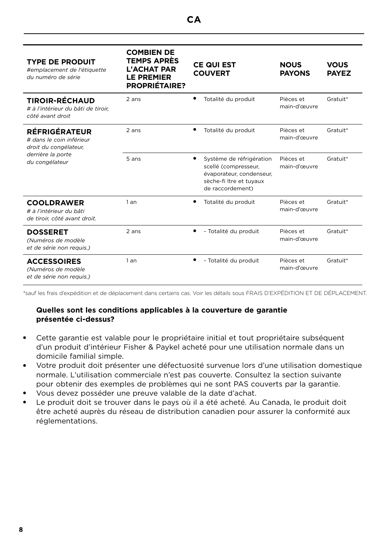| <b>TYPE DE PRODUIT</b><br>#emplacement de l'étiquette<br>du numéro de série     | <b>COMBIEN DE</b><br><b>TEMPS APRÈS</b><br><b>L'ACHAT PAR</b><br><b>LE PREMIER</b><br><b>PROPRIÉTAIRE?</b> |   | <b>CE QUI EST</b><br><b>COUVERT</b>                                                                                         | <b>NOUS</b><br><b>PAYONS</b> | <b>VOUS</b><br><b>PAYEZ</b> |
|---------------------------------------------------------------------------------|------------------------------------------------------------------------------------------------------------|---|-----------------------------------------------------------------------------------------------------------------------------|------------------------------|-----------------------------|
| <b>TIROIR-RÉCHAUD</b><br># à l'intérieur du bâti de tiroir.<br>côté avant droit | 2 ans                                                                                                      | ٠ | Totalité du produit                                                                                                         | Pièces et<br>main-d'œuvre    | Gratuit*                    |
| <b>RÉFRIGÉRATEUR</b><br># dans le coin inférieur<br>droit du congélateur,       | 2 ans                                                                                                      | ٠ | Totalité du produit                                                                                                         | Pièces et<br>main-d'œuvre    | Gratuit*                    |
| derrière la porte<br>du congélateur                                             | 5 ans                                                                                                      | ٠ | Système de réfrigération<br>scellé (compresseur,<br>évaporateur, condenseur,<br>sèche-fi ltre et tuyaux<br>de raccordement) | Pièces et<br>main-d'œuvre    | Gratuit*                    |
| <b>COOLDRAWER</b><br># à l'intérieur du bâti<br>de tiroir, côté avant droit.    | 1an                                                                                                        | ٠ | Totalité du produit                                                                                                         | Pièces et<br>main-d'œuvre    | Gratuit*                    |
| <b>DOSSERET</b><br>(Numéros de modèle<br>et de série non requis.)               | 2 ans                                                                                                      | ٠ | - Totalité du produit                                                                                                       | Pièces et<br>main-d'œuvre    | Gratuit*                    |
| <b>ACCESSOIRES</b><br>(Numéros de modèle<br>et de série non requis.)            | 1an                                                                                                        |   | - Totalité du produit                                                                                                       | Pièces et<br>main-d'œuvre    | Gratuit*                    |

\*sauf les frais d'expédition et de déplacement dans certains cas. Voir les détails sous FRAIS D'EXPÉDITION ET DE DÉPLACEMENT.

## **Quelles sont les conditions applicables à la couverture de garantie présentée ci-dessus?**

- Cette garantie est valable pour le propriétaire initial et tout propriétaire subséquent d'un produit d'intérieur Fisher & Paykel acheté pour une utilisation normale dans un domicile familial simple.
- Votre produit doit présenter une défectuosité survenue lors d'une utilisation domestique normale. L'utilisation commerciale n'est pas couverte. Consultez la section suivante pour obtenir des exemples de problèmes qui ne sont PAS couverts par la garantie.
- Vous devez posséder une preuve valable de la date d'achat.
- Le produit doit se trouver dans le pays où il a été acheté. Au Canada, le produit doit être acheté auprès du réseau de distribution canadien pour assurer la conformité aux réglementations.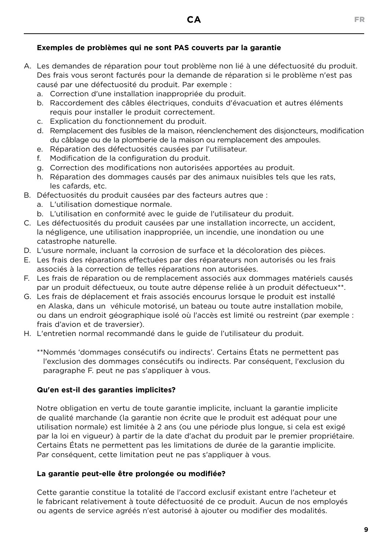## **CA** FR

## **Exemples de problèmes qui ne sont PAS couverts par la garantie**

- A. Les demandes de réparation pour tout problème non lié à une défectuosité du produit. Des frais vous seront facturés pour la demande de réparation si le problème n'est pas causé par une défectuosité du produit. Par exemple :
	- a. Correction d'une installation inappropriée du produit.
	- b. Raccordement des câbles électriques, conduits d'évacuation et autres éléments requis pour installer le produit correctement.
	- c. Explication du fonctionnement du produit.
	- d. Remplacement des fusibles de la maison, réenclenchement des disjoncteurs, modification du câblage ou de la plomberie de la maison ou remplacement des ampoules.
	- e. Réparation des défectuosités causées par l'utilisateur.
	- f. Modification de la configuration du produit.
	- g. Correction des modifications non autorisées apportées au produit.
	- h. Réparation des dommages causés par des animaux nuisibles tels que les rats, les cafards, etc.
- B. Défectuosités du produit causées par des facteurs autres que :
	- a. L'utilisation domestique normale.
	- b. L'utilisation en conformité avec le guide de l'utilisateur du produit.
- C. Les défectuosités du produit causées par une installation incorrecte, un accident, la négligence, une utilisation inappropriée, un incendie, une inondation ou une catastrophe naturelle.
- D. L'usure normale, incluant la corrosion de surface et la décoloration des pièces.
- E. Les frais des réparations effectuées par des réparateurs non autorisés ou les frais associés à la correction de telles réparations non autorisées.
- F. Les frais de réparation ou de remplacement associés aux dommages matériels causés par un produit défectueux, ou toute autre dépense reliée à un produit défectueux\*\*.
- G. Les frais de déplacement et frais associés encourus lorsque le produit est installé en Alaska, dans un véhicule motorisé, un bateau ou toute autre installation mobile, ou dans un endroit géographique isolé où l'accès est limité ou restreint (par exemple : frais d'avion et de traversier).
- H. L'entretien normal recommandé dans le guide de l'utilisateur du produit.

\*\* Nommés 'dommages consécutifs ou indirects'. Certains États ne permettent pas l'exclusion des dommages consécutifs ou indirects. Par conséquent, l'exclusion du paragraphe F. peut ne pas s'appliquer à vous.

## **Qu'en est-il des garanties implicites?**

Notre obligation en vertu de toute garantie implicite, incluant la garantie implicite de qualité marchande (la garantie non écrite que le produit est adéquat pour une utilisation normale) est limitée à 2 ans (ou une période plus longue, si cela est exigé par la loi en vigueur) à partir de la date d'achat du produit par le premier propriétaire. Certains États ne permettent pas les limitations de durée de la garantie implicite. Par conséquent, cette limitation peut ne pas s'appliquer à vous.

## **La garantie peut-elle être prolongée ou modifiée?**

Cette garantie constitue la totalité de l'accord exclusif existant entre l'acheteur et le fabricant relativement à toute défectuosité de ce produit. Aucun de nos employés ou agents de service agréés n'est autorisé à ajouter ou modifier des modalités.